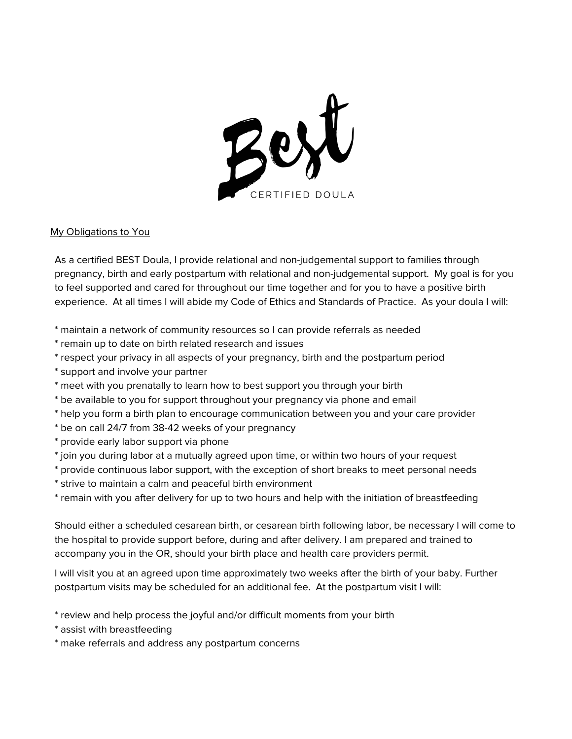

## My Obligations to You

As a certified BEST Doula, I provide relational and non-judgemental support to families through pregnancy, birth and early postpartum with relational and non-judgemental support. My goal is for you to feel supported and cared for throughout our time together and for you to have a positive birth experience. At all times I will abide my Code of Ethics and Standards of Practice. As your doula I will:

\* maintain a network of community resources so I can provide referrals as needed

- \* remain up to date on birth related research and issues
- \* respect your privacy in all aspects of your pregnancy, birth and the postpartum period
- \* support and involve your partner
- \* meet with you prenatally to learn how to best support you through your birth
- \* be available to you for support throughout your pregnancy via phone and email
- \* help you form a birth plan to encourage communication between you and your care provider
- \* be on call 24/7 from 38-42 weeks of your pregnancy
- \* provide early labor support via phone
- \* join you during labor at a mutually agreed upon time, or within two hours of your request
- \* provide continuous labor support, with the exception of short breaks to meet personal needs
- \* strive to maintain a calm and peaceful birth environment
- \* remain with you after delivery for up to two hours and help with the initiation of breastfeeding

Should either a scheduled cesarean birth, or cesarean birth following labor, be necessary I will come to the hospital to provide support before, during and after delivery. I am prepared and trained to accompany you in the OR, should your birth place and health care providers permit.

I will visit you at an agreed upon time approximately two weeks after the birth of your baby. Further postpartum visits may be scheduled for an additional fee. At the postpartum visit I will:

- \* review and help process the joyful and/or difficult moments from your birth
- \* assist with breastfeeding
- \* make referrals and address any postpartum concerns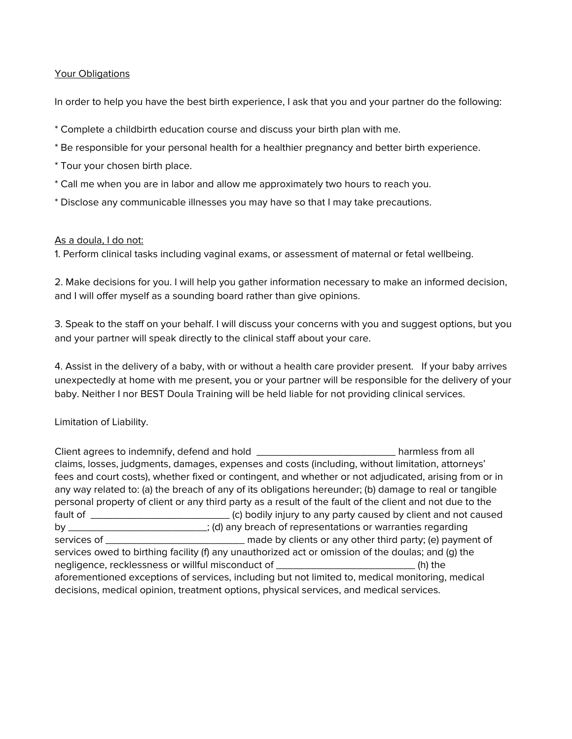## Your Obligations

In order to help you have the best birth experience, I ask that you and your partner do the following:

- \* Complete a childbirth education course and discuss your birth plan with me.
- \* Be responsible for your personal health for a healthier pregnancy and better birth experience.
- \* Tour your chosen birth place.
- \* Call me when you are in labor and allow me approximately two hours to reach you.
- \* Disclose any communicable illnesses you may have so that I may take precautions.

## As a doula, I do not:

1. Perform clinical tasks including vaginal exams, or assessment of maternal or fetal wellbeing.

2. Make decisions for you. I will help you gather information necessary to make an informed decision, and I will offer myself as a sounding board rather than give opinions.

3. Speak to the staff on your behalf. I will discuss your concerns with you and suggest options, but you and your partner will speak directly to the clinical staff about your care.

4. Assist in the delivery of a baby, with or without a health care provider present. If your baby arrives unexpectedly at home with me present, you or your partner will be responsible for the delivery of your baby. Neither I nor BEST Doula Training will be held liable for not providing clinical services.

Limitation of Liability.

Client agrees to indemnify, defend and hold \_\_\_\_\_\_\_\_\_\_\_\_\_\_\_\_\_\_\_\_\_\_\_\_ harmless from all claims, losses, judgments, damages, expenses and costs (including, without limitation, attorneys' fees and court costs), whether fixed or contingent, and whether or not adjudicated, arising from or in any way related to: (a) the breach of any of its obligations hereunder; (b) damage to real or tangible personal property of client or any third party as a result of the fault of the client and not due to the fault of \_\_\_\_\_\_\_\_\_\_\_\_\_\_\_\_\_\_\_\_\_\_\_\_ (c) bodily injury to any party caused by client and not caused by \_\_\_\_\_\_\_\_\_\_\_\_\_\_\_\_\_\_\_\_\_\_\_\_; (d) any breach of representations or warranties regarding services of \_\_\_\_\_\_\_\_\_\_\_\_\_\_\_\_\_\_\_\_\_\_\_\_ made by clients or any other third party; (e) payment of services owed to birthing facility (f) any unauthorized act or omission of the doulas; and (g) the negligence, recklessness or willful misconduct of \_\_\_\_\_\_\_\_\_\_\_\_\_\_\_\_\_\_\_\_\_\_\_\_ (h) the aforementioned exceptions of services, including but not limited to, medical monitoring, medical decisions, medical opinion, treatment options, physical services, and medical services.